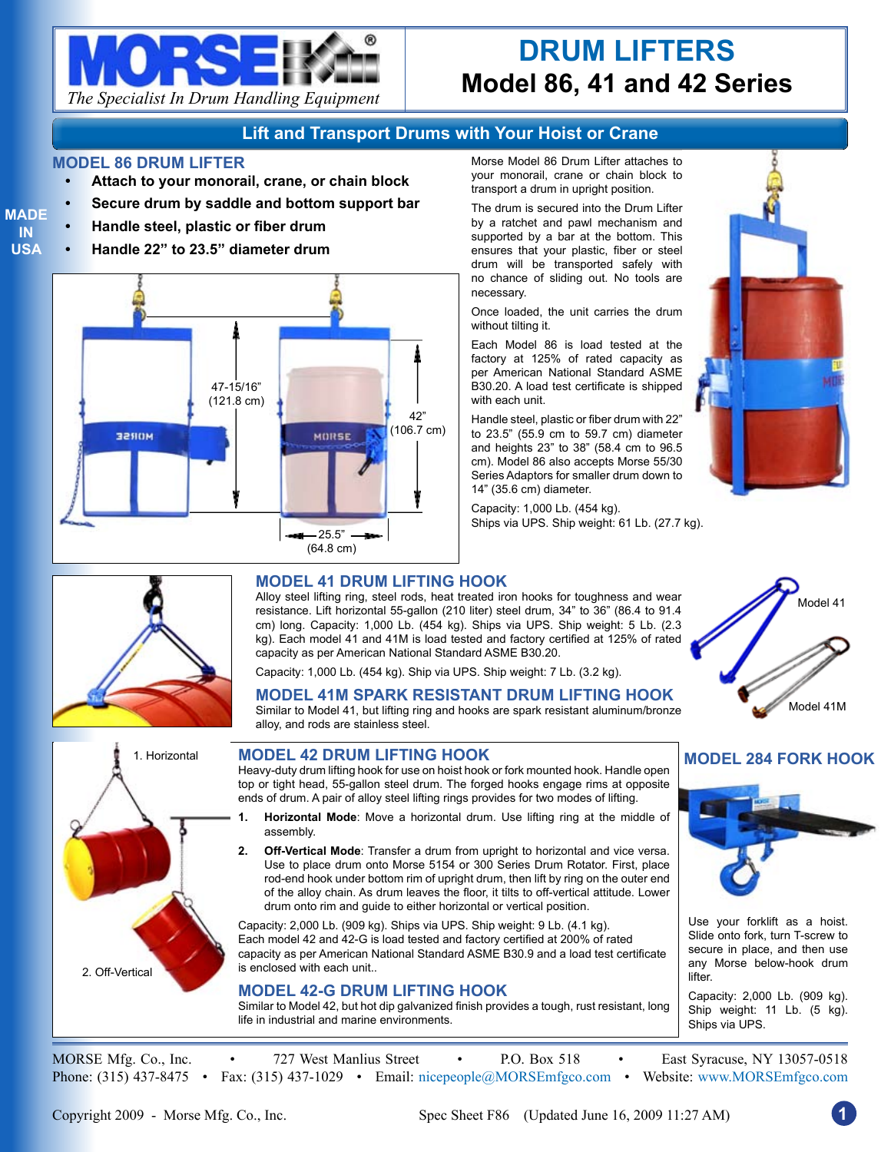

# **DRUM LIFTERS Model 86, 41 and 42 Series**

## **Lift and Transport Drums with Your Hoist or Crane**

#### **MODEL 86 DRUM LIFTER**

- **• Attach to your monorail, crane, or chain block**
- **Secure drum by saddle and bottom support bar**
- **• Handle steel, plastic or fiber drum**
- **• Handle 22" to 23.5" diameter drum**



Morse Model 86 Drum Lifter attaches to your monorail, crane or chain block to transport a drum in upright position.

The drum is secured into the Drum Lifter by a ratchet and pawl mechanism and supported by a bar at the bottom. This ensures that your plastic, fiber or steel drum will be transported safely with no chance of sliding out. No tools are necessary.

Once loaded, the unit carries the drum without tilting it.

Each Model 86 is load tested at the factory at 125% of rated capacity as per American National Standard ASME B30.20. A load test certificate is shipped with each unit.

Handle steel, plastic or fiber drum with 22" to 23.5" (55.9 cm to 59.7 cm) diameter and heights 23" to 38" (58.4 cm to 96.5 cm). Model 86 also accepts Morse 55/30 Series Adaptors for smaller drum down to 14" (35.6 cm) diameter.

Capacity: 1,000 Lb. (454 kg). Ships via UPS. Ship weight: 61 Lb. (27.7 kg).





**MODEL 284 FORK HOOK**

## **MODEL 41 DRUM LIFTING HOOK**

Alloy steel lifting ring, steel rods, heat treated iron hooks for toughness and wear resistance. Lift horizontal 55-gallon (210 liter) steel drum, 34" to 36" (86.4 to 91.4 cm) long. Capacity: 1,000 Lb. (454 kg). Ships via UPS. Ship weight: 5 Lb. (2.3 kg). Each model 41 and 41M is load tested and factory certified at 125% of rated capacity as per American National Standard ASME B30.20.

Capacity: 1,000 Lb. (454 kg). Ship via UPS. Ship weight: 7 Lb. (3.2 kg).

## **MODEL 41M SPARK RESISTANT DRUM LIFTING HOOK**

Similar to Model 41, but lifting ring and hooks are spark resistant aluminum/bronze alloy, and rods are stainless steel.



#### **MODEL 42 DRUM LIFTING HOOK**

Heavy-duty drum lifting hook for use on hoist hook or fork mounted hook. Handle open top or tight head, 55-gallon steel drum. The forged hooks engage rims at opposite ends of drum. A pair of alloy steel lifting rings provides for two modes of lifting.

- **1. Horizontal Mode**: Move a horizontal drum. Use lifting ring at the middle of assembly.
- **2. Off-Vertical Mode**: Transfer a drum from upright to horizontal and vice versa. Use to place drum onto Morse 5154 or 300 Series Drum Rotator. First, place rod-end hook under bottom rim of upright drum, then lift by ring on the outer end of the alloy chain. As drum leaves the floor, it tilts to off-vertical attitude. Lower drum onto rim and guide to either horizontal or vertical position.

Capacity: 2,000 Lb. (909 kg). Ships via UPS. Ship weight: 9 Lb. (4.1 kg). Each model 42 and 42-G is load tested and factory certified at 200% of rated capacity as per American National Standard ASME B30.9 and a load test certificate is enclosed with each unit..

#### **MODEL 42-G DRUM LIFTING HOOK**

Similar to Model 42, but hot dip galvanized finish provides a tough, rust resistant, long life in industrial and marine environments.

Capacity: 2,000 Lb. (909 kg). Ship weight: 11 Lb. (5 kg). Ships via UPS.

Use your forklift as a hoist. Slide onto fork, turn T-screw to secure in place, and then use any Morse below-hook drum

MORSE Mfg. Co., Inc. • 727 West Manlius Street • P.O. Box 518 • East Syracuse, NY 13057-0518 Phone: (315) 437-8475 • Fax: (315) 437-1029 • Email: nicepeople@MORSEmfgco.com • Website: www.MORSEmfgco.com

lifter.

**MADE IN USA**